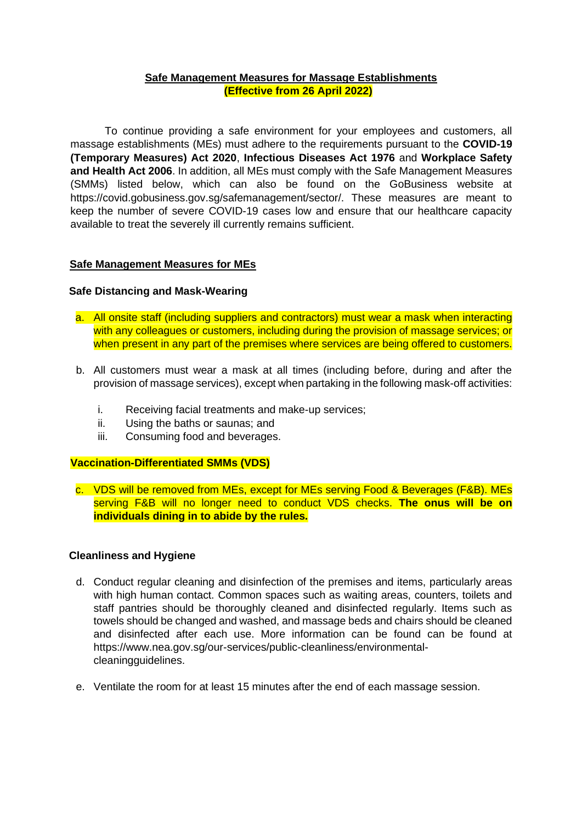### **Safe Management Measures for Massage Establishments (Effective from 26 April 2022)**

To continue providing a safe environment for your employees and customers, all massage establishments (MEs) must adhere to the requirements pursuant to the **COVID-19 (Temporary Measures) Act 2020**, **Infectious Diseases Act 1976** and **Workplace Safety and Health Act 2006**. In addition, all MEs must comply with the Safe Management Measures (SMMs) listed below, which can also be found on the GoBusiness website at https://covid.gobusiness.gov.sg/safemanagement/sector/. These measures are meant to keep the number of severe COVID-19 cases low and ensure that our healthcare capacity available to treat the severely ill currently remains sufficient.

# **Safe Management Measures for MEs**

### **Safe Distancing and Mask-Wearing**

- a. All onsite staff (including suppliers and contractors) must wear a mask when interacting with any colleagues or customers, including during the provision of massage services; or when present in any part of the premises where services are being offered to customers.
- b. All customers must wear a mask at all times (including before, during and after the provision of massage services), except when partaking in the following mask-off activities:
	- i. Receiving facial treatments and make-up services;
	- ii. Using the baths or saunas; and
	- iii. Consuming food and beverages.

### **Vaccination-Differentiated SMMs (VDS)**

c. VDS will be removed from MEs, except for MEs serving Food & Beverages (F&B). MEs serving F&B will no longer need to conduct VDS checks. **The onus will be on individuals dining in to abide by the rules.**

### **Cleanliness and Hygiene**

- d. Conduct regular cleaning and disinfection of the premises and items, particularly areas with high human contact. Common spaces such as waiting areas, counters, toilets and staff pantries should be thoroughly cleaned and disinfected regularly. Items such as towels should be changed and washed, and massage beds and chairs should be cleaned and disinfected after each use. More information can be found can be found at [https://www.nea.gov.sg/our-services/public-cleanliness/environmental](https://www.nea.gov.sg/our-services/public-cleanliness/environmental-cleaning-guidelines)[cleaningguidelines.](https://www.nea.gov.sg/our-services/public-cleanliness/environmental-cleaning-guidelines)
- e. Ventilate the room for at least 15 minutes after the end of each massage session.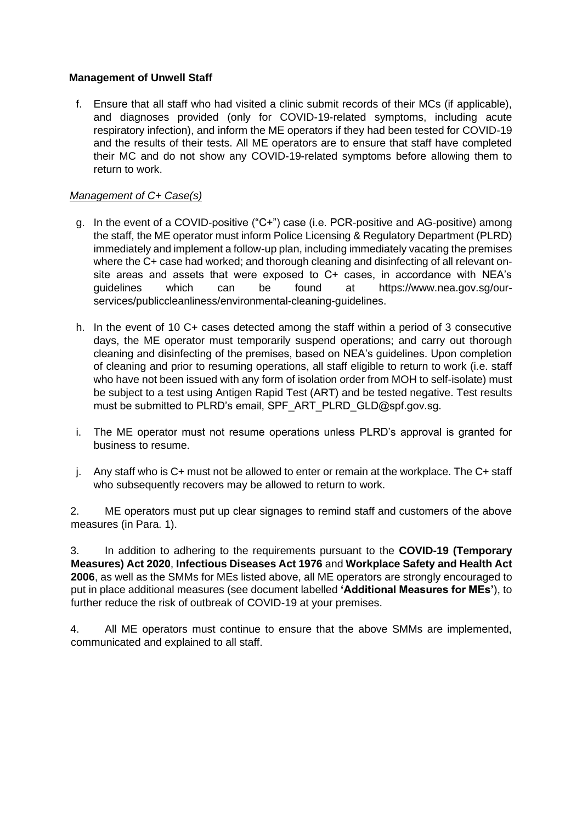# **Management of Unwell Staff**

f. Ensure that all staff who had visited a clinic submit records of their MCs (if applicable), and diagnoses provided (only for COVID-19-related symptoms, including acute respiratory infection), and inform the ME operators if they had been tested for COVID-19 and the results of their tests. All ME operators are to ensure that staff have completed their MC and do not show any COVID-19-related symptoms before allowing them to return to work.

# *Management of C+ Case(s)*

- g. In the event of a COVID-positive ("C+") case (i.e. PCR-positive and AG-positive) among the staff, the ME operator must inform Police Licensing & Regulatory Department (PLRD) immediately and implement a follow-up plan, including immediately vacating the premises where the C+ case had worked; and thorough cleaning and disinfecting of all relevant onsite areas and assets that were exposed to C+ cases, in accordance with NEA's guidelines which can be found at [https://www.nea.gov.sg/our](https://www.nea.gov.sg/our-services/public-cleanliness/environmental-cleaning-guidelines)[services/publiccleanliness/environmental-cleaning-guidelines.](https://www.nea.gov.sg/our-services/public-cleanliness/environmental-cleaning-guidelines)
- h. In the event of 10 C+ cases detected among the staff within a period of 3 consecutive days, the ME operator must temporarily suspend operations; and carry out thorough cleaning and disinfecting of the premises, based on NEA's guidelines. Upon completion of cleaning and prior to resuming operations, all staff eligible to return to work (i.e. staff who have not been issued with any form of isolation order from MOH to self-isolate) must be subject to a test using Antigen Rapid Test (ART) and be tested negative. Test results must be submitted to PLRD's email, SPF\_ART\_PLRD\_GLD@spf.gov.sg.
- i. The ME operator must not resume operations unless PLRD's approval is granted for business to resume.
- j. Any staff who is C+ must not be allowed to enter or remain at the workplace. The C+ staff who subsequently recovers may be allowed to return to work.

2. ME operators must put up clear signages to remind staff and customers of the above measures (in Para. 1).

3. In addition to adhering to the requirements pursuant to the **COVID-19 (Temporary Measures) Act 2020**, **Infectious Diseases Act 1976** and **Workplace Safety and Health Act 2006**, as well as the SMMs for MEs listed above, all ME operators are strongly encouraged to put in place additional measures (see document labelled **'Additional Measures for MEs'**), to further reduce the risk of outbreak of COVID-19 at your premises.

4. All ME operators must continue to ensure that the above SMMs are implemented, communicated and explained to all staff.